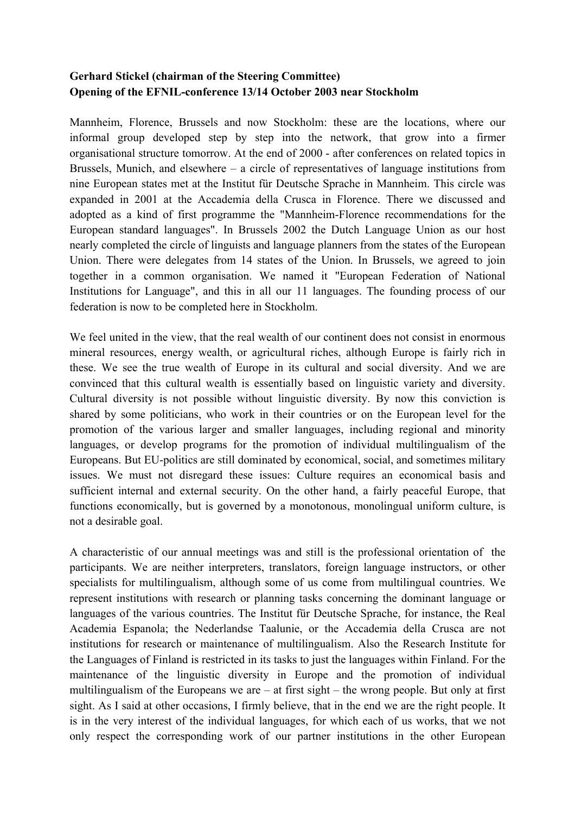## **Gerhard Stickel (chairman of the Steering Committee) Opening of the EFNIL-conference 13/14 October 2003 near Stockholm**

Mannheim, Florence, Brussels and now Stockholm: these are the locations, where our informal group developed step by step into the network, that grow into a firmer organisational structure tomorrow. At the end of 2000 - after conferences on related topics in Brussels, Munich, and elsewhere – a circle of representatives of language institutions from nine European states met at the Institut für Deutsche Sprache in Mannheim. This circle was expanded in 2001 at the Accademia della Crusca in Florence. There we discussed and adopted as a kind of first programme the "Mannheim-Florence recommendations for the European standard languages". In Brussels 2002 the Dutch Language Union as our host nearly completed the circle of linguists and language planners from the states of the European Union. There were delegates from 14 states of the Union. In Brussels, we agreed to join together in a common organisation. We named it "European Federation of National Institutions for Language", and this in all our 11 languages. The founding process of our federation is now to be completed here in Stockholm.

We feel united in the view, that the real wealth of our continent does not consist in enormous mineral resources, energy wealth, or agricultural riches, although Europe is fairly rich in these. We see the true wealth of Europe in its cultural and social diversity. And we are convinced that this cultural wealth is essentially based on linguistic variety and diversity. Cultural diversity is not possible without linguistic diversity. By now this conviction is shared by some politicians, who work in their countries or on the European level for the promotion of the various larger and smaller languages, including regional and minority languages, or develop programs for the promotion of individual multilingualism of the Europeans. But EU-politics are still dominated by economical, social, and sometimes military issues. We must not disregard these issues: Culture requires an economical basis and sufficient internal and external security. On the other hand, a fairly peaceful Europe, that functions economically, but is governed by a monotonous, monolingual uniform culture, is not a desirable goal.

A characteristic of our annual meetings was and still is the professional orientation of the participants. We are neither interpreters, translators, foreign language instructors, or other specialists for multilingualism, although some of us come from multilingual countries. We represent institutions with research or planning tasks concerning the dominant language or languages of the various countries. The Institut für Deutsche Sprache, for instance, the Real Academia Espanola; the Nederlandse Taalunie, or the Accademia della Crusca are not institutions for research or maintenance of multilingualism. Also the Research Institute for the Languages of Finland is restricted in its tasks to just the languages within Finland. For the maintenance of the linguistic diversity in Europe and the promotion of individual multilingualism of the Europeans we are – at first sight – the wrong people. But only at first sight. As I said at other occasions, I firmly believe, that in the end we are the right people. It is in the very interest of the individual languages, for which each of us works, that we not only respect the corresponding work of our partner institutions in the other European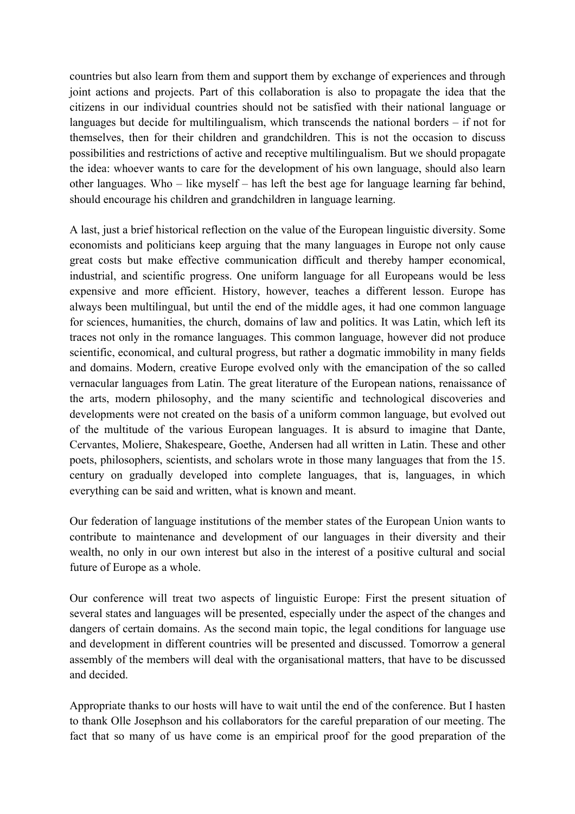countries but also learn from them and support them by exchange of experiences and through joint actions and projects. Part of this collaboration is also to propagate the idea that the citizens in our individual countries should not be satisfied with their national language or languages but decide for multilingualism, which transcends the national borders – if not for themselves, then for their children and grandchildren. This is not the occasion to discuss possibilities and restrictions of active and receptive multilingualism. But we should propagate the idea: whoever wants to care for the development of his own language, should also learn other languages. Who – like myself – has left the best age for language learning far behind, should encourage his children and grandchildren in language learning.

A last, just a brief historical reflection on the value of the European linguistic diversity. Some economists and politicians keep arguing that the many languages in Europe not only cause great costs but make effective communication difficult and thereby hamper economical, industrial, and scientific progress. One uniform language for all Europeans would be less expensive and more efficient. History, however, teaches a different lesson. Europe has always been multilingual, but until the end of the middle ages, it had one common language for sciences, humanities, the church, domains of law and politics. It was Latin, which left its traces not only in the romance languages. This common language, however did not produce scientific, economical, and cultural progress, but rather a dogmatic immobility in many fields and domains. Modern, creative Europe evolved only with the emancipation of the so called vernacular languages from Latin. The great literature of the European nations, renaissance of the arts, modern philosophy, and the many scientific and technological discoveries and developments were not created on the basis of a uniform common language, but evolved out of the multitude of the various European languages. It is absurd to imagine that Dante, Cervantes, Moliere, Shakespeare, Goethe, Andersen had all written in Latin. These and other poets, philosophers, scientists, and scholars wrote in those many languages that from the 15. century on gradually developed into complete languages, that is, languages, in which everything can be said and written, what is known and meant.

Our federation of language institutions of the member states of the European Union wants to contribute to maintenance and development of our languages in their diversity and their wealth, no only in our own interest but also in the interest of a positive cultural and social future of Europe as a whole.

Our conference will treat two aspects of linguistic Europe: First the present situation of several states and languages will be presented, especially under the aspect of the changes and dangers of certain domains. As the second main topic, the legal conditions for language use and development in different countries will be presented and discussed. Tomorrow a general assembly of the members will deal with the organisational matters, that have to be discussed and decided.

Appropriate thanks to our hosts will have to wait until the end of the conference. But I hasten to thank Olle Josephson and his collaborators for the careful preparation of our meeting. The fact that so many of us have come is an empirical proof for the good preparation of the